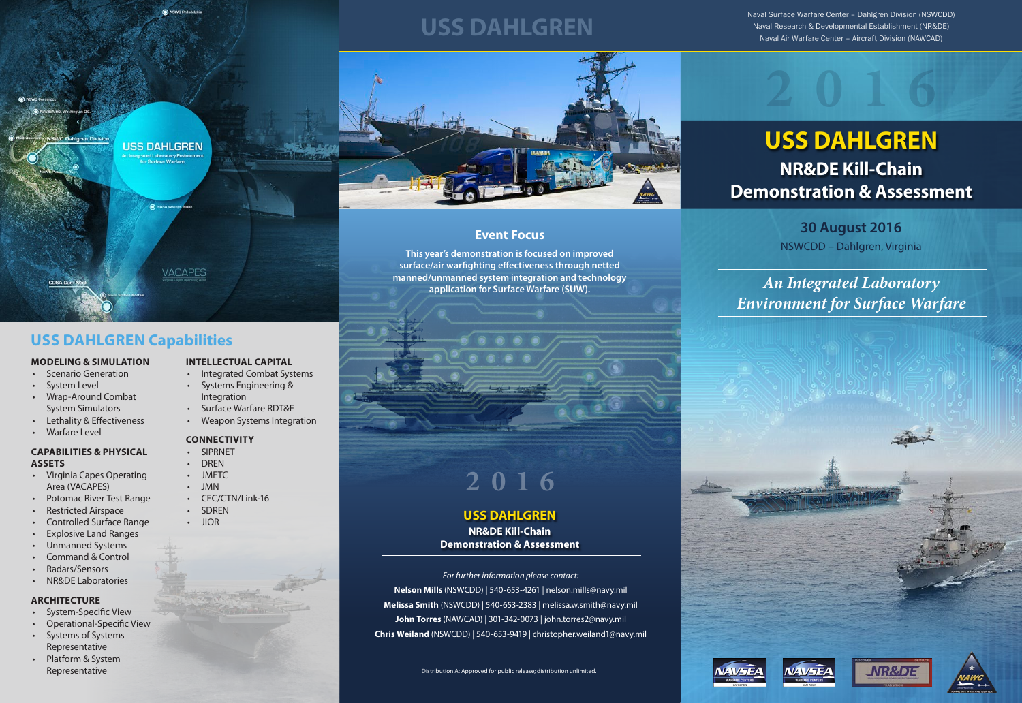## **USS DAHLGREN NR&DE Kill-Chain Demonstration & Assessment**



**VACAPES** 

**USS DAHLGREN** 

**30 August 2016** NSWCDD – Dahlgren, Virginia



**This year's demonstration is focused on improved surface/air warfighting effectiveness through netted manned/unmanned system integration and technology application for Surface Warfare (SUW).**

### **MODELING & SIMULATION**

- Scenario Generation
- System Level
- Wrap-Around Combat System Simulators
- Lethality & Effectiveness
- Warfare Level

### **CAPABILITIES & PHYSICAL ASSETS**

- Virginia Capes Operating Area (VACAPES)
- Potomac River Test Range
- Restricted Airspace
- Controlled Surface Range
- Explosive Land Ranges
- Unmanned Systems
- Command & Control
- Radars/Sensors
- NR&DE Laboratories

### **ARCHITECTURE**

- System-Specific View
- Operational-Specific View
- Systems of Systems Representative
- Platform & System Representative

### **INTELLECTUAL CAPITAL**

- Integrated Combat Systems
- Systems Engineering & Integration
- Surface Warfare RDT&E
- Weapon Systems Integration

### **CONNECTIVITY**

- SIPRNET
- DREN
- 
- JMN
- 
- 
- 
- 
- 
- JMETC
- 
- CEC/CTN/Link-16
- SDREN
- JIOR





*An Integrated Laboratory Environment for Surface Warfare*



### **USS DAHLGREN Capabilities**

Naval Surface Warfare Center – Dahlgren Division (NSWCDD) Naval Research & Developmental Establishment (NR&DE) **USS DAHLGREN** Naval Air Warfare Center – Aircraft Division (NAWCAD)



**Event Focus**

**USS DAHLGREN NR&DE Kill-Chain Demonstration & Assessment**

# **2016**

### *For further information please contact:*

**Nelson Mills** (NSWCDD) | 540-653-4261 | nelson.mills@navy.mil **Melissa Smith** (NSWCDD) | 540-653-2383 | melissa.w.smith@navy.mil **John Torres** (NAWCAD) | 301-342-0073 | john.torres2@navy.mil **Chris Weiland** (NSWCDD) | 540-653-9419 | christopher.weiland1@navy.mil